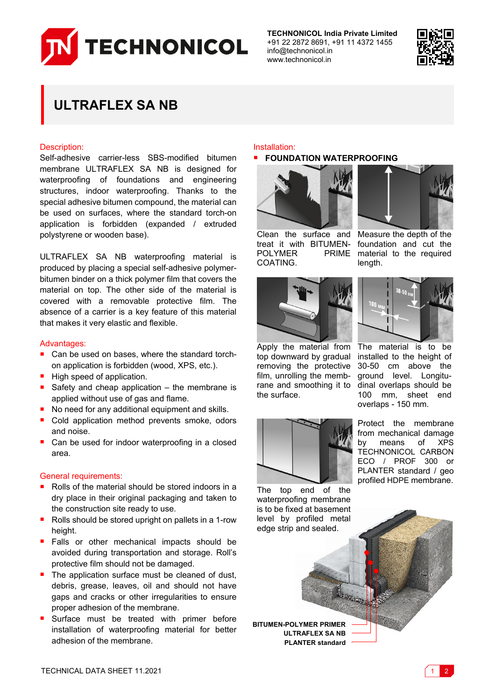

**TECHNONICOL India Private Limited** +91 22 2872 8691, +91 11 4372 1455 info@technonicol.in www.technonicol.in



# **ULTRAFLEX SA NB**

## Description:

Self-adhesive carrier-less SBS-modified bitumen membrane ULTRAFLEX SA NB is designed for waterproofing of foundations and engineering structures, indoor waterproofing. Thanks to the special adhesive bitumen compound, the material can be used on surfaces, where the standard torch-on application is forbidden (expanded / extruded polystyrene or wooden base).

ULTRAFLEX SA NB waterproofing material is produced by placing a special self-adhesive polymerbitumen binder on a thick polymer film that covers the material on top. The other side of the material is covered with a removable protective film. The absence of a carrier is a key feature of this material that makes it very elastic and flexible.

## Advantages:

- Can be used on bases, where the standard torchon application is forbidden (wood, XPS, etc.).
- High speed of application.
- Safety and cheap application  $-$  the membrane is applied without use of gas and flame.
- No need for any additional equipment and skills.
- Cold application method prevents smoke, odors and noise.
- Can be used for indoor waterproofing in a closed area.

### General requirements:

- Rolls of the material should be stored indoors in a dry place in their original packaging and taken to the construction site ready to use.
- Rolls should be stored upright on pallets in a 1-row height.
- Falls or other mechanical impacts should be avoided during transportation and storage. Roll's protective film should not be damaged.
- $\blacksquare$  The application surface must be cleaned of dust, debris, grease, leaves, oil and should not have gaps and cracks or other irregularities to ensure proper adhesion of the membrane.
- Surface must be treated with primer before installation of waterproofing material for better adhesion of the membrane.

#### Installation:

## **FOUNDATION WATERPROOFING**



**POLYMER** COATING.



Clean the surface and Measure the depth of the treat it with BITUMEN-foundation and cut the PRIME material to the required length.



Apply the material from top downward by gradual removing the protective film, unrolling the membrane and smoothing it to dinal overlaps should be the surface.



The material is to be installed to the height of 30-50 cm above the ground level. Longitu-100 mm, sheet end overlaps - 150 mm.



Protect the membrane from mechanical damage by means of XPS TECHNONICOL CARBON ECO / PROF 300 or PLANTER standard / geo profiled HDPE membrane.

The top end of the waterproofing membrane is to be fixed at basement level by profiled metal edge strip and sealed.

**BITUMEN-POLYMER PRIMER ULTRAFLEX SA NB PLANTER standard**